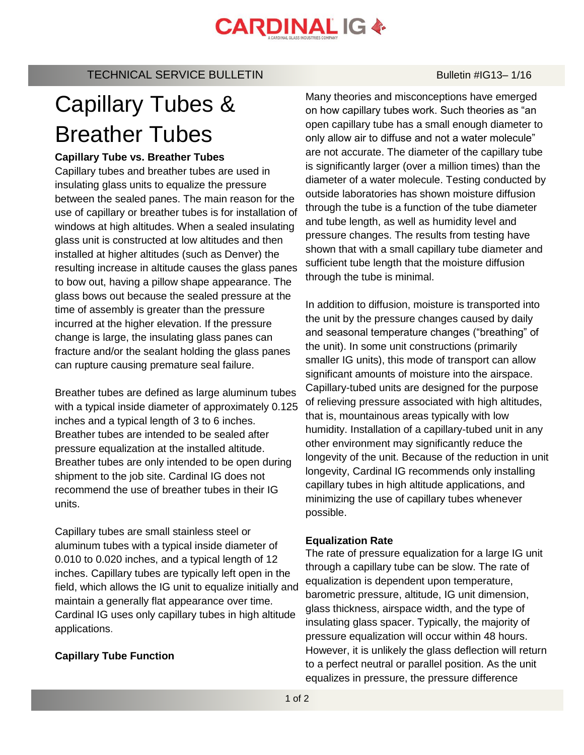### **CARDINAL IG &**

TECHNICAL SERVICE BULLETIN BULLETIN Bulletin #IG13-1/16

## Capillary Tubes & Breather Tubes

#### **Capillary Tube vs. Breather Tubes**

Capillary tubes and breather tubes are used in insulating glass units to equalize the pressure between the sealed panes. The main reason for the use of capillary or breather tubes is for installation of windows at high altitudes. When a sealed insulating glass unit is constructed at low altitudes and then installed at higher altitudes (such as Denver) the resulting increase in altitude causes the glass panes to bow out, having a pillow shape appearance. The glass bows out because the sealed pressure at the time of assembly is greater than the pressure incurred at the higher elevation. If the pressure change is large, the insulating glass panes can fracture and/or the sealant holding the glass panes can rupture causing premature seal failure.

Breather tubes are defined as large aluminum tubes with a typical inside diameter of approximately 0.125 inches and a typical length of 3 to 6 inches. Breather tubes are intended to be sealed after pressure equalization at the installed altitude. Breather tubes are only intended to be open during shipment to the job site. Cardinal IG does not recommend the use of breather tubes in their IG units.

Capillary tubes are small stainless steel or aluminum tubes with a typical inside diameter of 0.010 to 0.020 inches, and a typical length of 12 inches. Capillary tubes are typically left open in the field, which allows the IG unit to equalize initially and maintain a generally flat appearance over time. Cardinal IG uses only capillary tubes in high altitude applications.

#### **Capillary Tube Function**

Many theories and misconceptions have emerged on how capillary tubes work. Such theories as "an open capillary tube has a small enough diameter to only allow air to diffuse and not a water molecule" are not accurate. The diameter of the capillary tube is significantly larger (over a million times) than the diameter of a water molecule. Testing conducted by outside laboratories has shown moisture diffusion through the tube is a function of the tube diameter and tube length, as well as humidity level and pressure changes. The results from testing have shown that with a small capillary tube diameter and sufficient tube length that the moisture diffusion through the tube is minimal.

In addition to diffusion, moisture is transported into the unit by the pressure changes caused by daily and seasonal temperature changes ("breathing" of the unit). In some unit constructions (primarily smaller IG units), this mode of transport can allow significant amounts of moisture into the airspace. Capillary-tubed units are designed for the purpose of relieving pressure associated with high altitudes, that is, mountainous areas typically with low humidity. Installation of a capillary-tubed unit in any other environment may significantly reduce the longevity of the unit. Because of the reduction in unit longevity, Cardinal IG recommends only installing capillary tubes in high altitude applications, and minimizing the use of capillary tubes whenever possible.

#### **Equalization Rate**

The rate of pressure equalization for a large IG unit through a capillary tube can be slow. The rate of equalization is dependent upon temperature, barometric pressure, altitude, IG unit dimension, glass thickness, airspace width, and the type of insulating glass spacer. Typically, the majority of pressure equalization will occur within 48 hours. However, it is unlikely the glass deflection will return to a perfect neutral or parallel position. As the unit equalizes in pressure, the pressure difference